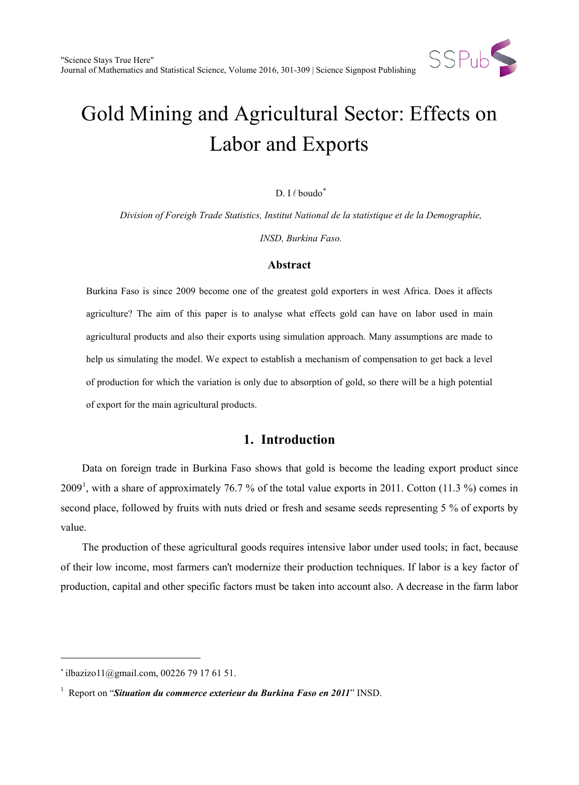

# Gold Mining and Agricultural Sector: Effects on Labor and Exports

### D. I $\ell$  boudo $*$

*Division of Foreigh Trade Statistics, Institut National de la statistique et de la Demographie,*

*INSD, Burkina Faso.*

## **Abstract**

Burkina Faso is since 2009 become one of the greatest gold exporters in west Africa. Does it affects agriculture? The aim of this paper is to analyse what effects gold can have on labor used in main agricultural products and also their exports using simulation approach. Many assumptions are made to help us simulating the model. We expect to establish a mechanism of compensation to get back a level of production for which the variation is only due to absorption of gold, so there will be a high potential of export for the main agricultural products.

# **1. Introduction**

Data on foreign trade in Burkina Faso shows that gold is become the leading export product since 2009<sup>[1](#page-0-1)</sup>, with a share of approximately 76.7 % of the total value exports in 2011. Cotton (11.3 %) comes in second place, followed by fruits with nuts dried or fresh and sesame seeds representing 5 % of exports by value.

The production of these agricultural goods requires intensive labor under used tools; in fact, because of their low income, most farmers can't modernize their production techniques. If labor is a key factor of production, capital and other specific factors must be taken into account also. A decrease in the farm labor

 $\ddot{ }$ 

<span id="page-0-0"></span><sup>∗</sup> ilbazizo11@gmail.com, 00226 79 17 61 51.

<span id="page-0-1"></span><sup>&</sup>lt;sup>1</sup> Report on "*Situation du commerce exterieur du Burkina Faso en 2011*" INSD.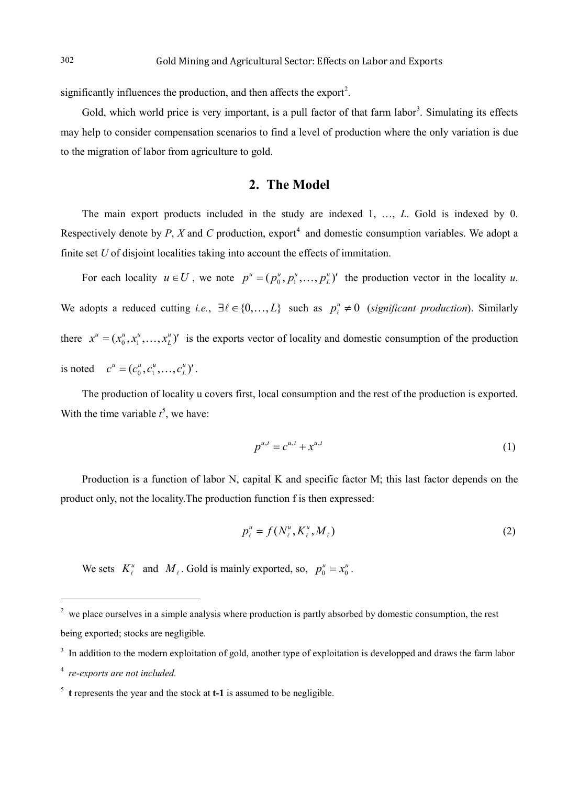significantly influences the production, and then affects the export<sup>[2](#page-1-0)</sup>.

Gold, which world price is very important, is a pull factor of that farm labor<sup>[3](#page-1-0)</sup>. Simulating its effects may help to consider compensation scenarios to find a level of production where the only variation is due to the migration of labor from agriculture to gold.

## **2. The Model**

The main export products included in the study are indexed 1, …, *L*. Gold is indexed by 0. Respectively denote by *P*, *X* and *C* production, export<sup>[4](#page-1-0)</sup> and domestic consumption variables. We adopt a finite set *U* of disjoint localities taking into account the effects of immitation.

For each locality  $u \in U$ , we note  $p^u = (p_0^u, p_1^u, \dots, p_L^u)$  the production vector in the locality *u*. We adopts a reduced cutting *i.e.*,  $\exists \ell \in \{0, ..., L\}$  such as  $p_\ell^u \neq 0$  (*significant production*). Similarly there  $x^u = (x_0^u, x_1^u, \dots, x_L^u)'$  is the exports vector of locality and domestic consumption of the production is noted  $c^u = (c_0^u, c_1^u, \dots, c_L^u)'$ .

The production of locality u covers first, local consumption and the rest of the production is exported. With the time variable  $t^5$  $t^5$ , we have:

$$
p^{u,t} = c^{u,t} + x^{u,t} \tag{1}
$$

Production is a function of labor N, capital K and specific factor M; this last factor depends on the product only, not the locality.The production function f is then expressed:

$$
p_{\ell}^{u} = f(N_{\ell}^{u}, K_{\ell}^{u}, M_{\ell})
$$
 (2)

We sets  $K_{\ell}^{u}$  and  $M_{\ell}$ . Gold is mainly exported, so,  $p_{0}^{u} = x_{0}^{u}$ .

 $\ddot{ }$ 

<span id="page-1-0"></span><sup>&</sup>lt;sup>2</sup> we place ourselves in a simple analysis where production is partly absorbed by domestic consumption, the rest being exported; stocks are negligible.

<sup>&</sup>lt;sup>3</sup> In addition to the modern exploitation of gold, another type of exploitation is developped and draws the farm labor

<sup>4</sup> *re-exports are not included.*

<sup>5</sup> **t** represents the year and the stock at **t-1** is assumed to be negligible.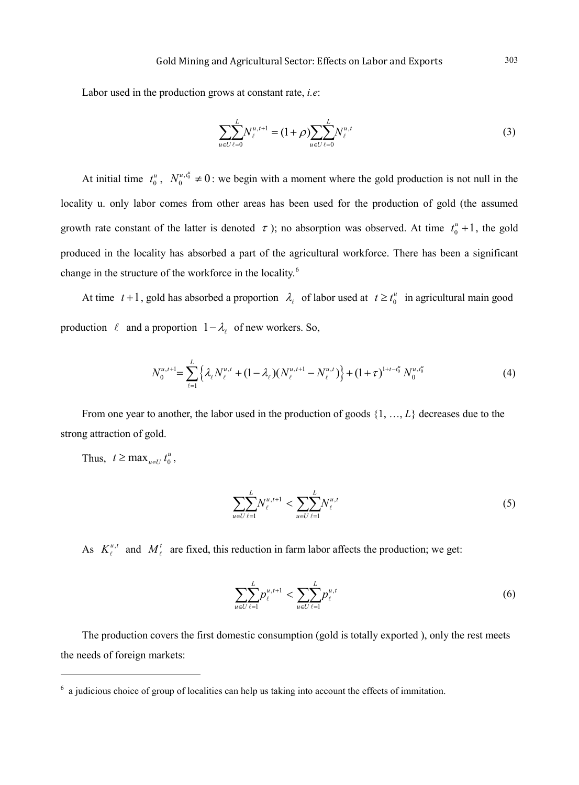Labor used in the production grows at constant rate, *i.e*:

$$
\sum_{u \in U} \sum_{\ell=0}^{L} N_{\ell}^{u, t+1} = (1+\rho) \sum_{u \in U} \sum_{\ell=0}^{L} N_{\ell}^{u, t} \tag{3}
$$

At initial time  $t_0^u$ ,  $N_0^{u,t_0^u} \neq 0$ : we begin with a moment where the gold production is not null in the locality u. only labor comes from other areas has been used for the production of gold (the assumed growth rate constant of the latter is denoted  $\tau$ ); no absorption was observed. At time  $t_0^u + 1$ , the gold produced in the locality has absorbed a part of the agricultural workforce. There has been a significant change in the structure of the workforce in the locality.<sup>[6](#page-2-0)</sup>

At time  $t+1$ , gold has absorbed a proportion  $\lambda_t$  of labor used at  $t \geq t_0^u$  in agricultural main good production  $\ell$  and a proportion  $1-\lambda_{\ell}$  of new workers. So,

$$
N_0^{u,t+1} = \sum_{\ell=1}^L \left\{ \lambda_\ell N_\ell^{u,t} + (1 - \lambda_\ell) (N_\ell^{u,t+1} - N_\ell^{u,t}) \right\} + (1 + \tau)^{1 + t - t_0^u} N_0^{u,t_0^u}
$$
(4)

From one year to another, the labor used in the production of goods  $\{1, ..., L\}$  decreases due to the strong attraction of gold.

Thus,  $t \ge \max_{u \in U} t_0^u$ ,

 $\ddot{ }$ 

$$
\sum_{u \in U} \sum_{\ell=1}^{L} N_{\ell}^{u, t+1} < \sum_{u \in U} \sum_{\ell=1}^{L} N_{\ell}^{u, t} \tag{5}
$$

As  $K_{\ell}^{u,t}$  and  $M_{\ell}^{t}$  are fixed, this reduction in farm labor affects the production; we get:

$$
\sum_{u \in U} \sum_{\ell=1}^{L} p_{\ell}^{u,t+1} < \sum_{u \in U} \sum_{\ell=1}^{L} p_{\ell}^{u,t} \tag{6}
$$

The production covers the first domestic consumption (gold is totally exported ), only the rest meets the needs of foreign markets:

<span id="page-2-0"></span><sup>6</sup> a judicious choice of group of localities can help us taking into account the effects of immitation.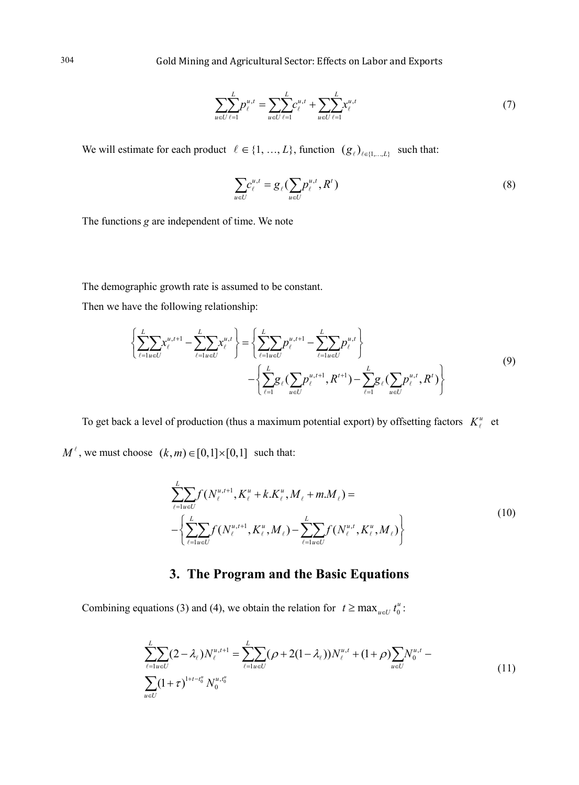$$
\sum_{u \in U} \sum_{\ell=1}^{L} p_{\ell}^{u,t} = \sum_{u \in U} \sum_{\ell=1}^{L} c_{\ell}^{u,t} + \sum_{u \in U} \sum_{\ell=1}^{L} x_{\ell}^{u,t} \tag{7}
$$

We will estimate for each product  $\ell \in \{1, ..., L\}$ , function  $(g_{\ell})_{\ell \in \{1, ..., L\}}$  such that:

$$
\sum_{u \in U} c_{\ell}^{u,t} = g_{\ell}(\sum_{u \in U} p_{\ell}^{u,t}, R^t)
$$
\n(8)

The functions *g* are independent of time. We note

The demographic growth rate is assumed to be constant.

Then we have the following relationship:

$$
\left\{\sum_{\ell=1}^{L} \sum_{u \in U} x_{\ell}^{u,t+1} - \sum_{\ell=1}^{L} \sum_{u \in U} x_{\ell}^{u,t}\right\} = \left\{\sum_{\ell=1}^{L} \sum_{u \in U} p_{\ell}^{u,t+1} - \sum_{\ell=1}^{L} \sum_{u \in U} p_{\ell}^{u,t}\right\}
$$
\n
$$
- \left\{\sum_{\ell=1}^{L} g_{\ell} \left(\sum_{u \in U} p_{\ell}^{u,t+1}, R^{t+1}\right) - \sum_{\ell=1}^{L} g_{\ell} \left(\sum_{u \in U} p_{\ell}^{u,t}, R^{t}\right)\right\}
$$
\n(9)

To get back a level of production (thus a maximum potential export) by offsetting factors  $K^u_\ell$  et

 $M^{\ell}$ , we must choose  $(k, m) \in [0, 1] \times [0, 1]$  such that:

$$
\sum_{\ell=1}^{L} f(N_{\ell}^{u,t+1}, K_{\ell}^{u} + k.K_{\ell}^{u}, M_{\ell} + m.M_{\ell}) =
$$
\n
$$
-\left\{\sum_{\ell=1}^{L} \sum_{u \in U} f(N_{\ell}^{u,t+1}, K_{\ell}^{u}, M_{\ell}) - \sum_{\ell=1}^{L} \sum_{u \in U} f(N_{\ell}^{u,t}, K_{\ell}^{u}, M_{\ell})\right\}
$$
\n(10)

# **3. The Program and the Basic Equations**

Combining equations (3) and (4), we obtain the relation for  $t \ge \max_{u \in U} t_0^u$ :

$$
\sum_{\ell=1}^{L} \sum_{u \in U} (2 - \lambda_{\ell}) N_{\ell}^{u, t+1} = \sum_{\ell=1}^{L} \sum_{u \in U} (\rho + 2(1 - \lambda_{\ell})) N_{\ell}^{u, t} + (1 + \rho) \sum_{u \in U} N_{0}^{u, t} - \sum_{u \in U} (1 + \tau)^{1 + t - t_{0}^{u}} N_{0}^{u, t_{0}^{u}} \tag{11}
$$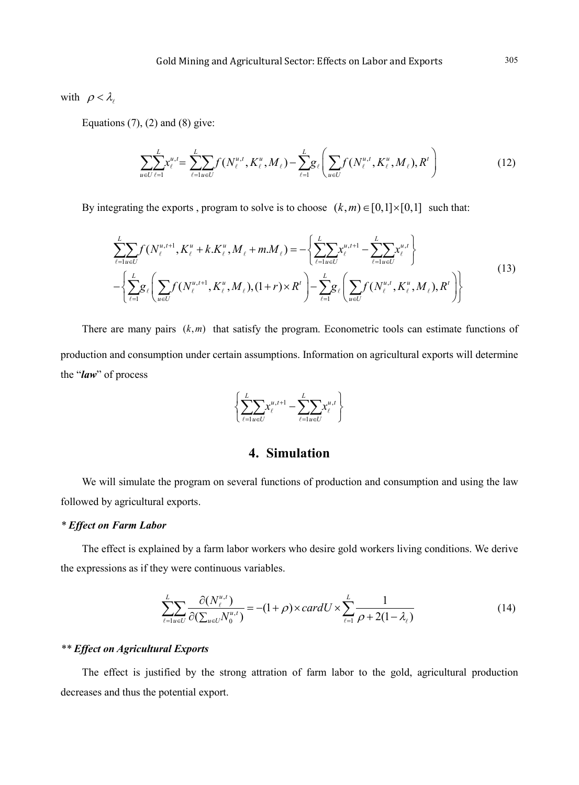with  $\rho < \lambda$ 

Equations  $(7)$ ,  $(2)$  and  $(8)$  give:

$$
\sum_{u \in U} \sum_{\ell=1}^{L} x_{\ell}^{u,t} = \sum_{\ell=1}^{L} \sum_{u \in U} f(N_{\ell}^{u,t}, K_{\ell}^{u}, M_{\ell}) - \sum_{\ell=1}^{L} g_{\ell} \left( \sum_{u \in U} f(N_{\ell}^{u,t}, K_{\ell}^{u}, M_{\ell}), R^{\ell} \right)
$$
(12)

By integrating the exports , program to solve is to choose  $(k, m) \in [0,1] \times [0,1]$  such that:

$$
\sum_{\ell=1}^{L} \sum_{u \in U} f(N_{\ell}^{u,t+1}, K_{\ell}^{u} + k.K_{\ell}^{u}, M_{\ell} + m.M_{\ell}) = -\left\{ \sum_{\ell=1}^{L} \sum_{u \in U} x_{\ell}^{u,t+1} - \sum_{\ell=1}^{L} \sum_{u \in U} x_{\ell}^{u,t} \right\}
$$
\n
$$
-\left\{ \sum_{\ell=1}^{L} g_{\ell} \left( \sum_{u \in U} f(N_{\ell}^{u,t+1}, K_{\ell}^{u}, M_{\ell}), (1+r) \times R^{t} \right) - \sum_{\ell=1}^{L} g_{\ell} \left( \sum_{u \in U} f(N_{\ell}^{u,t}, K_{\ell}^{u}, M_{\ell}), R^{t} \right) \right\}
$$
\n(13)

There are many pairs  $(k,m)$  that satisfy the program. Econometric tools can estimate functions of production and consumption under certain assumptions. Information on agricultural exports will determine the "*law*" of process

$$
\left\{\sum_{\ell=1}^L \hspace{-0.2cm} \sum_{u \in U}\hspace{-0.2cm} x^{u,t+1}_\ell - \sum_{\ell=1}^L \hspace{-0.2cm} \sum_{u \in U}\hspace{-0.2cm} x^{u,t}_\ell\right\}
$$

## **4. Simulation**

We will simulate the program on several functions of production and consumption and using the law followed by agricultural exports.

#### *\* Effect on Farm Labor*

The effect is explained by a farm labor workers who desire gold workers living conditions. We derive the expressions as if they were continuous variables.

$$
\sum_{\ell=1}^{L} \sum_{u \in U} \frac{\partial (N_{\ell}^{u,t})}{\partial (\sum_{u \in U} N_0^{u,t})} = -(1+\rho) \times cardU \times \sum_{\ell=1}^{L} \frac{1}{\rho + 2(1-\lambda_{\ell})}
$$
(14)

## *\*\* Effect on Agricultural Exports*

The effect is justified by the strong attration of farm labor to the gold, agricultural production decreases and thus the potential export.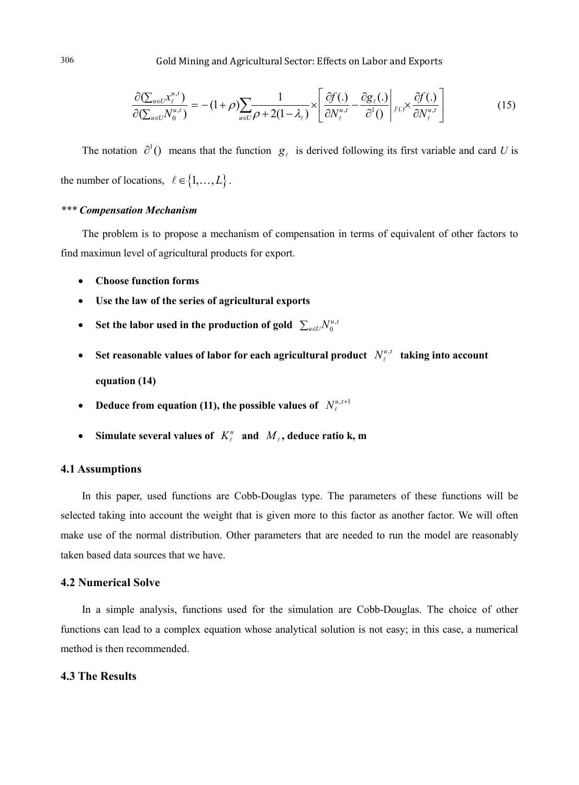$$
\frac{\partial (\sum_{u\in U} x_{\ell}^{u,t})}{\partial (\sum_{u\in U} N_0^{u,t})} = -(1+\rho) \sum_{u\in U} \frac{1}{\rho+2(1-\lambda_{\ell})} \times \left[ \frac{\partial f(.)}{\partial N_{\ell}^{u,t}} - \frac{\partial g_{\ell}(.)}{\partial^1 0} \middle|_{f(.)} \times \frac{\partial f(.)}{\partial N_{\ell}^{u,t}} \right]
$$
(15)

The notation  $\partial^1$  () means that the function  $g_\ell$  is derived following its first variable and card *U* is the number of locations,  $\ell \in \{1, ..., L\}$ .

#### *\*\*\* Compensation Mechanism*

The problem is to propose a mechanism of compensation in terms of equivalent of other factors to find maximun level of agricultural products for export.

- **Choose function forms**
- Use the law of the series of agricultural exports
- Set the labor used in the production of gold  $\sum_{u\in U} N_0^{u,v}$
- Set reasonable values of labor for each agricultural product  $N_{\ell}^{u,t}$  taking into account **equation (14)**
- **Deduce from equation (11), the possible values of**  $N_{\ell}^{u,t+1}$
- Simulate several values of  $K_\ell^u$  and  $M_\ell$ , deduce ratio k, m

#### **4.1 Assumptions**

In this paper, used functions are Cobb-Douglas type. The parameters of these functions will be selected taking into account the weight that is given more to this factor as another factor. We will often make use of the normal distribution. Other parameters that are needed to run the model are reasonably taken based data sources that we have.

#### **4.2 Numerical Solve**

In a simple analysis, functions used for the simulation are Cobb-Douglas. The choice of other functions can lead to a complex equation whose analytical solution is not easy; in this case, a numerical method is then recommended.

#### **4.3 The Results**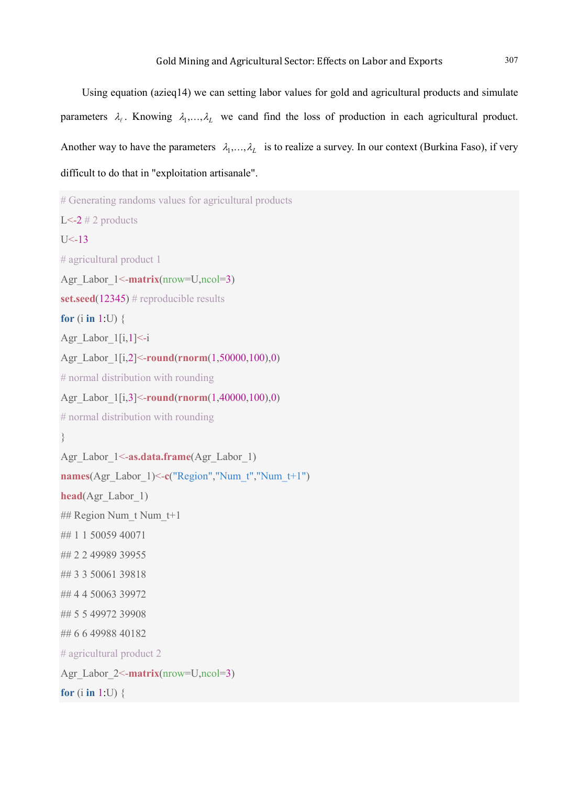Using equation (azieq14) we can setting labor values for gold and agricultural products and simulate parameters  $\lambda_l$ . Knowing  $\lambda_1, \ldots, \lambda_l$  we cand find the loss of production in each agricultural product. Another way to have the parameters  $\lambda_1, \ldots, \lambda_L$  is to realize a survey. In our context (Burkina Faso), if very difficult to do that in "exploitation artisanale".

```
# Generating randoms values for agricultural products
L<-2 # 2 products
U < -13# agricultural product 1
Agr_Labor_1<-matrix(nrow=U,ncol=3)
set.seed(12345) # reproducible results
for (i in 1:U) {
Agr Labor 1[i,1] < -iAgr_Labor_1[i,2]<-round(rnorm(1,50000,100),0)
# normal distribution with rounding
Agr_Labor_1[i,3]<-round(rnorm(1,40000,100),0)
# normal distribution with rounding
}
Agr_Labor_1<-as.data.frame(Agr_Labor_1)
names(Agr_Labor_1)<-c("Region","Num_t","Num_t+1")
head(Agr_Labor_1)
## Region Num_t Num_t+1
## 1 1 50059 40071
## 2 2 49989 39955
## 3 3 50061 39818
## 4 4 50063 39972
## 5 5 49972 39908
## 6 6 49988 40182
# agricultural product 2
Agr_Labor_2<-matrix(nrow=U,ncol=3)
for (i in 1:U) {
```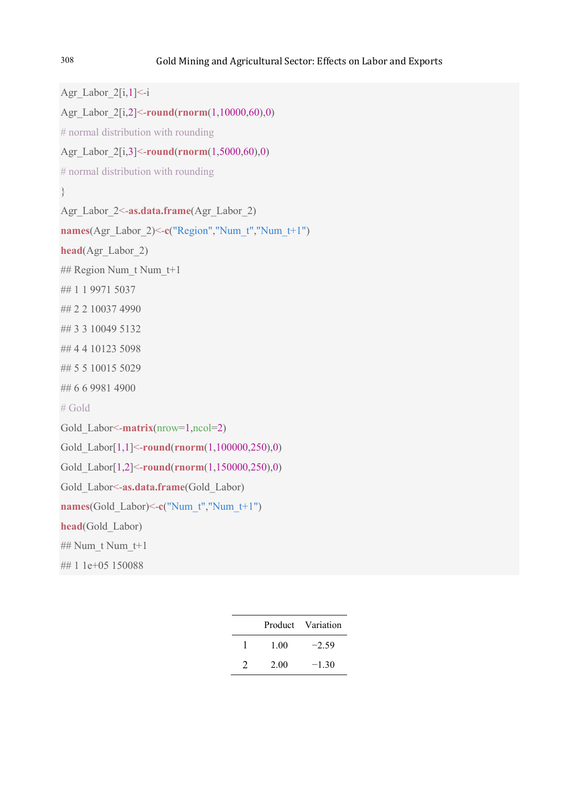```
Agr_Labor_2[i,1]<-i
Agr_Labor_2[i,2]<-round(rnorm(1,10000,60),0)
# normal distribution with rounding
Agr_Labor_2[i,3]<-round(rnorm(1,5000,60),0)
# normal distribution with rounding
}
Agr_Labor_2<-as.data.frame(Agr_Labor_2)
names(Agr_Labor_2)<-c("Region","Num_t","Num_t+1")
head(Agr_Labor_2)
## Region Num_t Num_t+1
## 1 1 9971 5037
## 2 2 10037 4990
## 3 3 10049 5132
## 4 4 10123 5098
## 5 5 10015 5029
## 6 6 9981 4900
# Gold
Gold_Labor<-matrix(nrow=1,ncol=2)
Gold_Labor[1,1]<-round(rnorm(1,100000,250),0)
Gold_Labor[1,2]<-round(rnorm(1,150000,250),0)
Gold_Labor<-as.data.frame(Gold_Labor)
names(Gold Labor)\le-c("Num t","Num t+1")
head(Gold_Labor)
## Num_t Num_t+1
## 1 1e+05 150088
```

|               |      | Product Variation |
|---------------|------|-------------------|
|               | 1.00 | $-2.59$           |
| $\mathcal{L}$ | 2.00 | $-130$            |